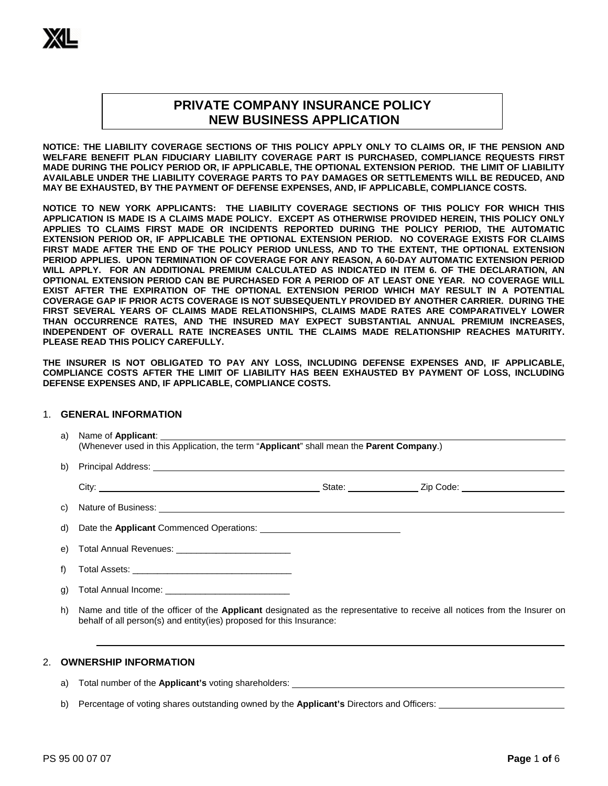# **PRIVATE COMPANY INSURANCE POLICY NEW BUSINESS APPLICATION**

**NOTICE: THE LIABILITY COVERAGE SECTIONS OF THIS POLICY APPLY ONLY TO CLAIMS OR, IF THE PENSION AND WELFARE BENEFIT PLAN FIDUCIARY LIABILITY COVERAGE PART IS PURCHASED, COMPLIANCE REQUESTS FIRST MADE DURING THE POLICY PERIOD OR, IF APPLICABLE, THE OPTIONAL EXTENSION PERIOD. THE LIMIT OF LIABILITY AVAILABLE UNDER THE LIABILITY COVERAGE PARTS TO PAY DAMAGES OR SETTLEMENTS WILL BE REDUCED, AND MAY BE EXHAUSTED, BY THE PAYMENT OF DEFENSE EXPENSES, AND, IF APPLICABLE, COMPLIANCE COSTS.** 

**NOTICE TO NEW YORK APPLICANTS: THE LIABILITY COVERAGE SECTIONS OF THIS POLICY FOR WHICH THIS APPLICATION IS MADE IS A CLAIMS MADE POLICY. EXCEPT AS OTHERWISE PROVIDED HEREIN, THIS POLICY ONLY APPLIES TO CLAIMS FIRST MADE OR INCIDENTS REPORTED DURING THE POLICY PERIOD, THE AUTOMATIC EXTENSION PERIOD OR, IF APPLICABLE THE OPTIONAL EXTENSION PERIOD. NO COVERAGE EXISTS FOR CLAIMS FIRST MADE AFTER THE END OF THE POLICY PERIOD UNLESS, AND TO THE EXTENT, THE OPTIONAL EXTENSION PERIOD APPLIES. UPON TERMINATION OF COVERAGE FOR ANY REASON, A 60-DAY AUTOMATIC EXTENSION PERIOD WILL APPLY. FOR AN ADDITIONAL PREMIUM CALCULATED AS INDICATED IN ITEM 6. OF THE DECLARATION, AN OPTIONAL EXTENSION PERIOD CAN BE PURCHASED FOR A PERIOD OF AT LEAST ONE YEAR. NO COVERAGE WILL EXIST AFTER THE EXPIRATION OF THE OPTIONAL EXTENSION PERIOD WHICH MAY RESULT IN A POTENTIAL COVERAGE GAP IF PRIOR ACTS COVERAGE IS NOT SUBSEQUENTLY PROVIDED BY ANOTHER CARRIER. DURING THE FIRST SEVERAL YEARS OF CLAIMS MADE RELATIONSHIPS, CLAIMS MADE RATES ARE COMPARATIVELY LOWER THAN OCCURRENCE RATES, AND THE INSURED MAY EXPECT SUBSTANTIAL ANNUAL PREMIUM INCREASES, INDEPENDENT OF OVERALL RATE INCREASES UNTIL THE CLAIMS MADE RELATIONSHIP REACHES MATURITY. PLEASE READ THIS POLICY CAREFULLY.** 

**THE INSURER IS NOT OBLIGATED TO PAY ANY LOSS, INCLUDING DEFENSE EXPENSES AND, IF APPLICABLE, COMPLIANCE COSTS AFTER THE LIMIT OF LIABILITY HAS BEEN EXHAUSTED BY PAYMENT OF LOSS, INCLUDING DEFENSE EXPENSES AND, IF APPLICABLE, COMPLIANCE COSTS.** 

#### 1. **GENERAL INFORMATION**

| a) | (Whenever used in this Application, the term "Applicant" shall mean the Parent Company.)                                                                                                                                            |
|----|-------------------------------------------------------------------------------------------------------------------------------------------------------------------------------------------------------------------------------------|
| b) | Principal Address: <u>Communications of the Communications</u> of the Communications of the Communications of the Communications of the Communications of the Communications of the Communications of the Communications of the Com |
|    |                                                                                                                                                                                                                                     |
| C) |                                                                                                                                                                                                                                     |
|    |                                                                                                                                                                                                                                     |
| e) | Total Annual Revenues: ______________________________                                                                                                                                                                               |
| f) |                                                                                                                                                                                                                                     |
| g) |                                                                                                                                                                                                                                     |
| h) | Name and title of the officer of the Applicant designated as the representative to receive all notices from the Insurer on<br>behalf of all person(s) and entity(ies) proposed for this Insurance:                                  |

#### 2. **OWNERSHIP INFORMATION**

a) Total number of the **Applicant's** voting shareholders:

b) Percentage of voting shares outstanding owned by the **Applicant's** Directors and Officers: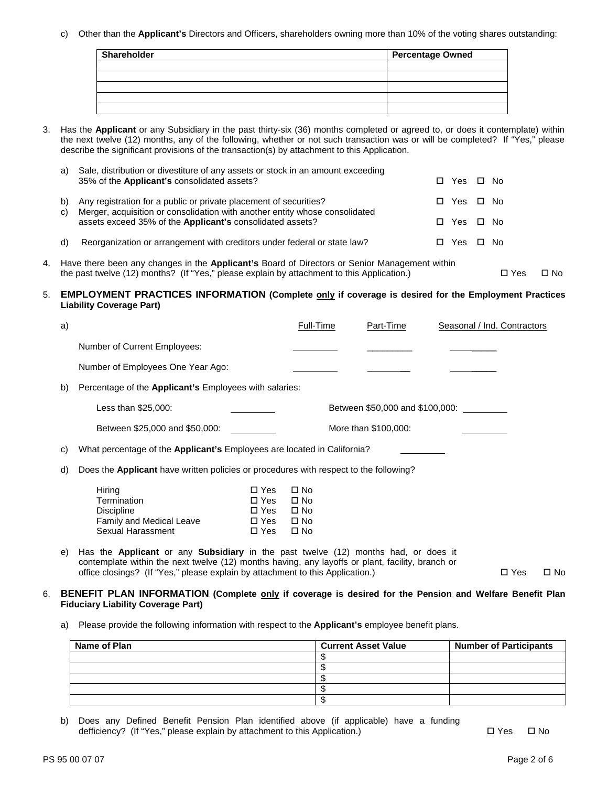c) Other than the **Applicant's** Directors and Officers, shareholders owning more than 10% of the voting shares outstanding:

| <b>Shareholder</b> | <b>Percentage Owned</b> |
|--------------------|-------------------------|
|                    |                         |
|                    |                         |
|                    |                         |
|                    |                         |
|                    |                         |

3. Has the **Applicant** or any Subsidiary in the past thirty-six (36) months completed or agreed to, or does it contemplate) within the next twelve (12) months, any of the following, whether or not such transaction was or will be completed? If "Yes," please describe the significant provisions of the transaction(s) by attachment to this Application.

| a) | Sale, distribution or divestiture of any assets or stock in an amount exceeding<br>35% of the Applicant's consolidated assets?                      | П. | Yes □ No   |      |
|----|-----------------------------------------------------------------------------------------------------------------------------------------------------|----|------------|------|
| C) | b) Any registration for a public or private placement of securities?<br>Merger, acquisition or consolidation with another entity whose consolidated |    | □ Yes □ No |      |
|    | assets exceed 35% of the Applicant's consolidated assets?                                                                                           | П. | Yes □ No   |      |
|    | d) Reorganization or arrangement with creditors under federal or state law?                                                                         |    | Yes        | □ No |

4. Have there been any changes in the **Applicant's** Board of Directors or Senior Management within the past twelve (12) months? (If "Yes," please explain by attachment to this Application.) □ Yes □ No

#### 5. **EMPLOYMENT PRACTICES INFORMATION (Complete only if coverage is desired for the Employment Practices Liability Coverage Part)**

| a) |                                                                                                                                                                                                                                                                                        |                                                        | Full-Time                                                                    | Part-Time                       | Seasonal / Ind. Contractors |            |              |
|----|----------------------------------------------------------------------------------------------------------------------------------------------------------------------------------------------------------------------------------------------------------------------------------------|--------------------------------------------------------|------------------------------------------------------------------------------|---------------------------------|-----------------------------|------------|--------------|
|    | Number of Current Employees:                                                                                                                                                                                                                                                           |                                                        |                                                                              |                                 |                             |            |              |
|    | Number of Employees One Year Ago:                                                                                                                                                                                                                                                      |                                                        |                                                                              |                                 |                             |            |              |
| b) | Percentage of the <b>Applicant's</b> Employees with salaries:                                                                                                                                                                                                                          |                                                        |                                                                              |                                 |                             |            |              |
|    | Less than \$25,000:                                                                                                                                                                                                                                                                    |                                                        |                                                                              | Between \$50,000 and \$100,000: |                             |            |              |
|    | Between \$25,000 and \$50,000:                                                                                                                                                                                                                                                         |                                                        |                                                                              | More than \$100,000:            |                             |            |              |
| C) | What percentage of the Applicant's Employees are located in California?                                                                                                                                                                                                                |                                                        |                                                                              |                                 |                             |            |              |
| d) | Does the Applicant have written policies or procedures with respect to the following?                                                                                                                                                                                                  |                                                        |                                                                              |                                 |                             |            |              |
|    | Hiring<br>Termination<br><b>Discipline</b><br>Family and Medical Leave<br>Sexual Harassment                                                                                                                                                                                            | $\square$ Yes<br>□ Yes<br>□ Yes<br>□ Yes<br>$\Box$ Yes | $\square$ No<br>$\square$ No<br>$\square$ No<br>$\square$ No<br>$\square$ No |                                 |                             |            |              |
| e) | Has the <b>Applicant</b> or any <b>Subsidiary</b> in the past twelve (12) months had, or does it<br>contemplate within the next twelve (12) months having, any layoffs or plant, facility, branch or<br>office closings? (If "Yes," please explain by attachment to this Application.) |                                                        |                                                                              |                                 |                             | $\Box$ Yes | $\square$ No |

### 6. **BENEFIT PLAN INFORMATION (Complete only if coverage is desired for the Pension and Welfare Benefit Plan Fiduciary Liability Coverage Part)**

a) Please provide the following information with respect to the **Applicant's** employee benefit plans.

| Name of Plan | <b>Current Asset Value</b> | <b>Number of Participants</b> |
|--------------|----------------------------|-------------------------------|
|              |                            |                               |
|              |                            |                               |
|              |                            |                               |
|              |                            |                               |
|              |                            |                               |

b) Does any Defined Benefit Pension Plan identified above (if applicable) have a funding defficiency? (If "Yes," please explain by attachment to this Application.)  $\square$  Yes  $\square$  No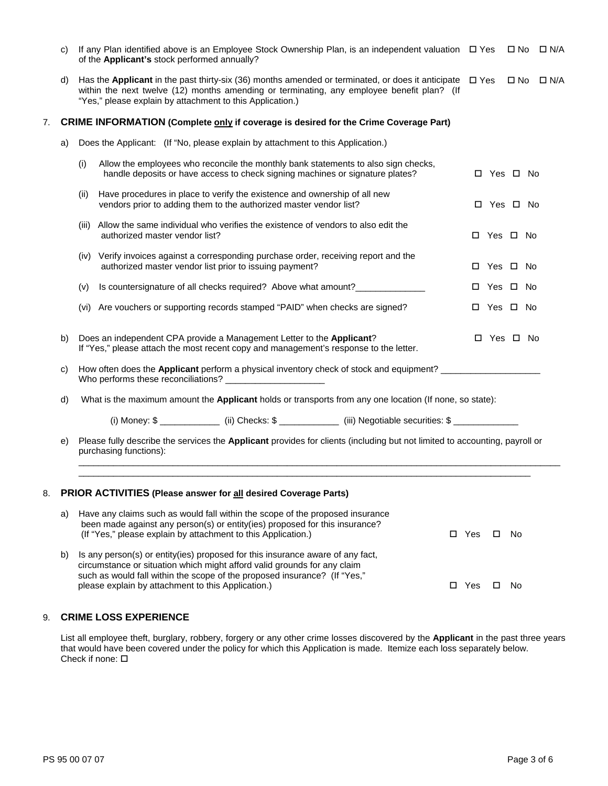|    | C) | If any Plan identified above is an Employee Stock Ownership Plan, is an independent valuation $\Box$ Yes<br>of the Applicant's stock performed annually?                                                                                                                                                       |   | $\square$ No | □ N/A      |
|----|----|----------------------------------------------------------------------------------------------------------------------------------------------------------------------------------------------------------------------------------------------------------------------------------------------------------------|---|--------------|------------|
|    | d) | Has the Applicant in the past thirty-six (36) months amended or terminated, or does it anticipate $\Box$ Yes<br>within the next twelve (12) months amending or terminating, any employee benefit plan? (If<br>"Yes," please explain by attachment to this Application.)                                        |   | $\square$ No | $\Box$ N/A |
| 7. |    | CRIME INFORMATION (Complete only if coverage is desired for the Crime Coverage Part)                                                                                                                                                                                                                           |   |              |            |
|    | a) | Does the Applicant: (If "No, please explain by attachment to this Application.)                                                                                                                                                                                                                                |   |              |            |
|    |    | Allow the employees who reconcile the monthly bank statements to also sign checks,<br>(i)<br>handle deposits or have access to check signing machines or signature plates?                                                                                                                                     |   | □ Yes □ No   |            |
|    |    | Have procedures in place to verify the existence and ownership of all new<br>(ii)<br>vendors prior to adding them to the authorized master vendor list?                                                                                                                                                        |   | □ Yes □ No   |            |
|    |    | Allow the same individual who verifies the existence of vendors to also edit the<br>(III)<br>authorized master vendor list?                                                                                                                                                                                    |   | □ Yes □ No   |            |
|    |    | (iv) Verify invoices against a corresponding purchase order, receiving report and the<br>authorized master vendor list prior to issuing payment?                                                                                                                                                               | 0 | Yes □ No     |            |
|    |    | Is countersignature of all checks required? Above what amount?____________<br>(v)                                                                                                                                                                                                                              |   | □ Yes □ No   |            |
|    |    | (vi) Are vouchers or supporting records stamped "PAID" when checks are signed?                                                                                                                                                                                                                                 |   | □ Yes □ No   |            |
|    | b) | Does an independent CPA provide a Management Letter to the Applicant?<br>If "Yes," please attach the most recent copy and management's response to the letter.                                                                                                                                                 |   | □ Yes □ No   |            |
|    | C) | How often does the Applicant perform a physical inventory check of stock and equipment? _____________________<br>Who performs these reconciliations?                                                                                                                                                           |   |              |            |
|    | d) | What is the maximum amount the Applicant holds or transports from any one location (If none, so state):                                                                                                                                                                                                        |   |              |            |
|    |    | (i) Money: \$ _______________ (ii) Checks: \$ _____________ (iii) Negotiable securities: \$ ___________                                                                                                                                                                                                        |   |              |            |
|    | e) | Please fully describe the services the Applicant provides for clients (including but not limited to accounting, payroll or<br>purchasing functions):                                                                                                                                                           |   |              |            |
| 8. |    | PRIOR ACTIVITIES (Please answer for all desired Coverage Parts)                                                                                                                                                                                                                                                |   |              |            |
|    | a) | Have any claims such as would fall within the scope of the proposed insurance<br>been made against any person(s) or entity(ies) proposed for this insurance?<br>(If "Yes," please explain by attachment to this Application.)<br>$\square$ Yes                                                                 | □ | No.          |            |
|    | b) | Is any person(s) or entity(ies) proposed for this insurance aware of any fact,<br>circumstance or situation which might afford valid grounds for any claim<br>such as would fall within the scope of the proposed insurance? (If "Yes,"<br>please explain by attachment to this Application.)<br>$\square$ Yes | □ | No           |            |
|    |    |                                                                                                                                                                                                                                                                                                                |   |              |            |

## 9. **CRIME LOSS EXPERIENCE**

List all employee theft, burglary, robbery, forgery or any other crime losses discovered by the **Applicant** in the past three years that would have been covered under the policy for which this Application is made. Itemize each loss separately below. Check if none: **□**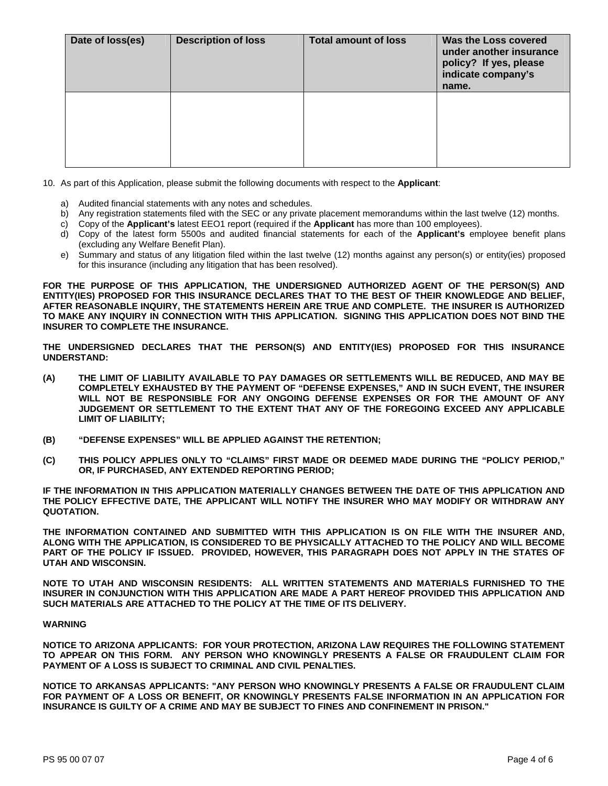| Date of loss(es) | <b>Description of loss</b> | <b>Total amount of loss</b> | Was the Loss covered<br>under another insurance<br>policy? If yes, please<br>indicate company's<br>name. |
|------------------|----------------------------|-----------------------------|----------------------------------------------------------------------------------------------------------|
|                  |                            |                             |                                                                                                          |

10. As part of this Application, please submit the following documents with respect to the **Applicant**:

- a) Audited financial statements with any notes and schedules.
- b) Any registration statements filed with the SEC or any private placement memorandums within the last twelve (12) months.
- c) Copy of the **Applicant's** latest EEO1 report (required if the **Applicant** has more than 100 employees).
- d) Copy of the latest form 5500s and audited financial statements for each of the **Applicant's** employee benefit plans (excluding any Welfare Benefit Plan).
- e) Summary and status of any litigation filed within the last twelve (12) months against any person(s) or entity(ies) proposed for this insurance (including any litigation that has been resolved).

**FOR THE PURPOSE OF THIS APPLICATION, THE UNDERSIGNED AUTHORIZED AGENT OF THE PERSON(S) AND ENTITY(IES) PROPOSED FOR THIS INSURANCE DECLARES THAT TO THE BEST OF THEIR KNOWLEDGE AND BELIEF, AFTER REASONABLE INQUIRY, THE STATEMENTS HEREIN ARE TRUE AND COMPLETE. THE INSURER IS AUTHORIZED TO MAKE ANY INQUIRY IN CONNECTION WITH THIS APPLICATION. SIGNING THIS APPLICATION DOES NOT BIND THE INSURER TO COMPLETE THE INSURANCE.** 

**THE UNDERSIGNED DECLARES THAT THE PERSON(S) AND ENTITY(IES) PROPOSED FOR THIS INSURANCE UNDERSTAND:** 

- **(A) THE LIMIT OF LIABILITY AVAILABLE TO PAY DAMAGES OR SETTLEMENTS WILL BE REDUCED, AND MAY BE COMPLETELY EXHAUSTED BY THE PAYMENT OF "DEFENSE EXPENSES," AND IN SUCH EVENT, THE INSURER WILL NOT BE RESPONSIBLE FOR ANY ONGOING DEFENSE EXPENSES OR FOR THE AMOUNT OF ANY JUDGEMENT OR SETTLEMENT TO THE EXTENT THAT ANY OF THE FOREGOING EXCEED ANY APPLICABLE LIMIT OF LIABILITY;**
- **(B) "DEFENSE EXPENSES" WILL BE APPLIED AGAINST THE RETENTION;**
- **(C) THIS POLICY APPLIES ONLY TO "CLAIMS" FIRST MADE OR DEEMED MADE DURING THE "POLICY PERIOD," OR, IF PURCHASED, ANY EXTENDED REPORTING PERIOD;**

**IF THE INFORMATION IN THIS APPLICATION MATERIALLY CHANGES BETWEEN THE DATE OF THIS APPLICATION AND THE POLICY EFFECTIVE DATE, THE APPLICANT WILL NOTIFY THE INSURER WHO MAY MODIFY OR WITHDRAW ANY QUOTATION.** 

**THE INFORMATION CONTAINED AND SUBMITTED WITH THIS APPLICATION IS ON FILE WITH THE INSURER AND, ALONG WITH THE APPLICATION, IS CONSIDERED TO BE PHYSICALLY ATTACHED TO THE POLICY AND WILL BECOME PART OF THE POLICY IF ISSUED. PROVIDED, HOWEVER, THIS PARAGRAPH DOES NOT APPLY IN THE STATES OF UTAH AND WISCONSIN.** 

**NOTE TO UTAH AND WISCONSIN RESIDENTS: ALL WRITTEN STATEMENTS AND MATERIALS FURNISHED TO THE INSURER IN CONJUNCTION WITH THIS APPLICATION ARE MADE A PART HEREOF PROVIDED THIS APPLICATION AND SUCH MATERIALS ARE ATTACHED TO THE POLICY AT THE TIME OF ITS DELIVERY.** 

#### **WARNING**

**NOTICE TO ARIZONA APPLICANTS: FOR YOUR PROTECTION, ARIZONA LAW REQUIRES THE FOLLOWING STATEMENT TO APPEAR ON THIS FORM. ANY PERSON WHO KNOWINGLY PRESENTS A FALSE OR FRAUDULENT CLAIM FOR PAYMENT OF A LOSS IS SUBJECT TO CRIMINAL AND CIVIL PENALTIES.** 

**NOTICE TO ARKANSAS APPLICANTS: "ANY PERSON WHO KNOWINGLY PRESENTS A FALSE OR FRAUDULENT CLAIM FOR PAYMENT OF A LOSS OR BENEFIT, OR KNOWINGLY PRESENTS FALSE INFORMATION IN AN APPLICATION FOR INSURANCE IS GUILTY OF A CRIME AND MAY BE SUBJECT TO FINES AND CONFINEMENT IN PRISON."**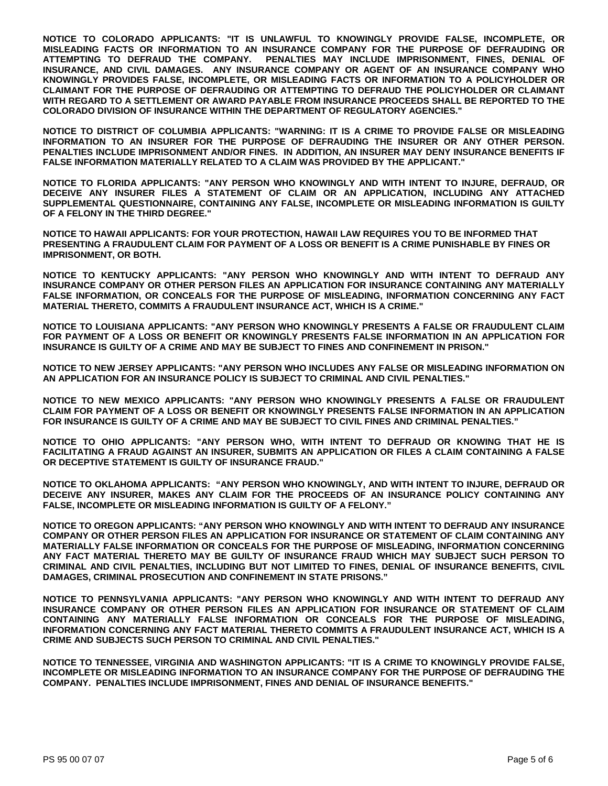**NOTICE TO COLORADO APPLICANTS: "IT IS UNLAWFUL TO KNOWINGLY PROVIDE FALSE, INCOMPLETE, OR MISLEADING FACTS OR INFORMATION TO AN INSURANCE COMPANY FOR THE PURPOSE OF DEFRAUDING OR ATTEMPTING TO DEFRAUD THE COMPANY. PENALTIES MAY INCLUDE IMPRISONMENT, FINES, DENIAL OF INSURANCE, AND CIVIL DAMAGES. ANY INSURANCE COMPANY OR AGENT OF AN INSURANCE COMPANY WHO KNOWINGLY PROVIDES FALSE, INCOMPLETE, OR MISLEADING FACTS OR INFORMATION TO A POLICYHOLDER OR CLAIMANT FOR THE PURPOSE OF DEFRAUDING OR ATTEMPTING TO DEFRAUD THE POLICYHOLDER OR CLAIMANT WITH REGARD TO A SETTLEMENT OR AWARD PAYABLE FROM INSURANCE PROCEEDS SHALL BE REPORTED TO THE COLORADO DIVISION OF INSURANCE WITHIN THE DEPARTMENT OF REGULATORY AGENCIES."** 

**NOTICE TO DISTRICT OF COLUMBIA APPLICANTS: "WARNING: IT IS A CRIME TO PROVIDE FALSE OR MISLEADING INFORMATION TO AN INSURER FOR THE PURPOSE OF DEFRAUDING THE INSURER OR ANY OTHER PERSON. PENALTIES INCLUDE IMPRISONMENT AND/OR FINES. IN ADDITION, AN INSURER MAY DENY INSURANCE BENEFITS IF FALSE INFORMATION MATERIALLY RELATED TO A CLAIM WAS PROVIDED BY THE APPLICANT."** 

**NOTICE TO FLORIDA APPLICANTS: "ANY PERSON WHO KNOWINGLY AND WITH INTENT TO INJURE, DEFRAUD, OR DECEIVE ANY INSURER FILES A STATEMENT OF CLAIM OR AN APPLICATION, INCLUDING ANY ATTACHED SUPPLEMENTAL QUESTIONNAIRE, CONTAINING ANY FALSE, INCOMPLETE OR MISLEADING INFORMATION IS GUILTY OF A FELONY IN THE THIRD DEGREE."** 

**NOTICE TO HAWAII APPLICANTS: FOR YOUR PROTECTION, HAWAII LAW REQUIRES YOU TO BE INFORMED THAT PRESENTING A FRAUDULENT CLAIM FOR PAYMENT OF A LOSS OR BENEFIT IS A CRIME PUNISHABLE BY FINES OR IMPRISONMENT, OR BOTH.** 

**NOTICE TO KENTUCKY APPLICANTS: "ANY PERSON WHO KNOWINGLY AND WITH INTENT TO DEFRAUD ANY INSURANCE COMPANY OR OTHER PERSON FILES AN APPLICATION FOR INSURANCE CONTAINING ANY MATERIALLY FALSE INFORMATION, OR CONCEALS FOR THE PURPOSE OF MISLEADING, INFORMATION CONCERNING ANY FACT MATERIAL THERETO, COMMITS A FRAUDULENT INSURANCE ACT, WHICH IS A CRIME."** 

**NOTICE TO LOUISIANA APPLICANTS: "ANY PERSON WHO KNOWINGLY PRESENTS A FALSE OR FRAUDULENT CLAIM FOR PAYMENT OF A LOSS OR BENEFIT OR KNOWINGLY PRESENTS FALSE INFORMATION IN AN APPLICATION FOR INSURANCE IS GUILTY OF A CRIME AND MAY BE SUBJECT TO FINES AND CONFINEMENT IN PRISON."** 

**NOTICE TO NEW JERSEY APPLICANTS: "ANY PERSON WHO INCLUDES ANY FALSE OR MISLEADING INFORMATION ON AN APPLICATION FOR AN INSURANCE POLICY IS SUBJECT TO CRIMINAL AND CIVIL PENALTIES."** 

**NOTICE TO NEW MEXICO APPLICANTS: "ANY PERSON WHO KNOWINGLY PRESENTS A FALSE OR FRAUDULENT CLAIM FOR PAYMENT OF A LOSS OR BENEFIT OR KNOWINGLY PRESENTS FALSE INFORMATION IN AN APPLICATION FOR INSURANCE IS GUILTY OF A CRIME AND MAY BE SUBJECT TO CIVIL FINES AND CRIMINAL PENALTIES."** 

**NOTICE TO OHIO APPLICANTS: "ANY PERSON WHO, WITH INTENT TO DEFRAUD OR KNOWING THAT HE IS FACILITATING A FRAUD AGAINST AN INSURER, SUBMITS AN APPLICATION OR FILES A CLAIM CONTAINING A FALSE OR DECEPTIVE STATEMENT IS GUILTY OF INSURANCE FRAUD."** 

**NOTICE TO OKLAHOMA APPLICANTS: "ANY PERSON WHO KNOWINGLY, AND WITH INTENT TO INJURE, DEFRAUD OR DECEIVE ANY INSURER, MAKES ANY CLAIM FOR THE PROCEEDS OF AN INSURANCE POLICY CONTAINING ANY FALSE, INCOMPLETE OR MISLEADING INFORMATION IS GUILTY OF A FELONY."** 

**NOTICE TO OREGON APPLICANTS: "ANY PERSON WHO KNOWINGLY AND WITH INTENT TO DEFRAUD ANY INSURANCE COMPANY OR OTHER PERSON FILES AN APPLICATION FOR INSURANCE OR STATEMENT OF CLAIM CONTAINING ANY MATERIALLY FALSE INFORMATION OR CONCEALS FOR THE PURPOSE OF MISLEADING, INFORMATION CONCERNING ANY FACT MATERIAL THERETO MAY BE GUILTY OF INSURANCE FRAUD WHICH MAY SUBJECT SUCH PERSON TO CRIMINAL AND CIVIL PENALTIES, INCLUDING BUT NOT LIMITED TO FINES, DENIAL OF INSURANCE BENEFITS, CIVIL DAMAGES, CRIMINAL PROSECUTION AND CONFINEMENT IN STATE PRISONS."** 

**NOTICE TO PENNSYLVANIA APPLICANTS: "ANY PERSON WHO KNOWINGLY AND WITH INTENT TO DEFRAUD ANY INSURANCE COMPANY OR OTHER PERSON FILES AN APPLICATION FOR INSURANCE OR STATEMENT OF CLAIM CONTAINING ANY MATERIALLY FALSE INFORMATION OR CONCEALS FOR THE PURPOSE OF MISLEADING, INFORMATION CONCERNING ANY FACT MATERIAL THERETO COMMITS A FRAUDULENT INSURANCE ACT, WHICH IS A CRIME AND SUBJECTS SUCH PERSON TO CRIMINAL AND CIVIL PENALTIES."** 

**NOTICE TO TENNESSEE, VIRGINIA AND WASHINGTON APPLICANTS: "IT IS A CRIME TO KNOWINGLY PROVIDE FALSE, INCOMPLETE OR MISLEADING INFORMATION TO AN INSURANCE COMPANY FOR THE PURPOSE OF DEFRAUDING THE COMPANY. PENALTIES INCLUDE IMPRISONMENT, FINES AND DENIAL OF INSURANCE BENEFITS."**